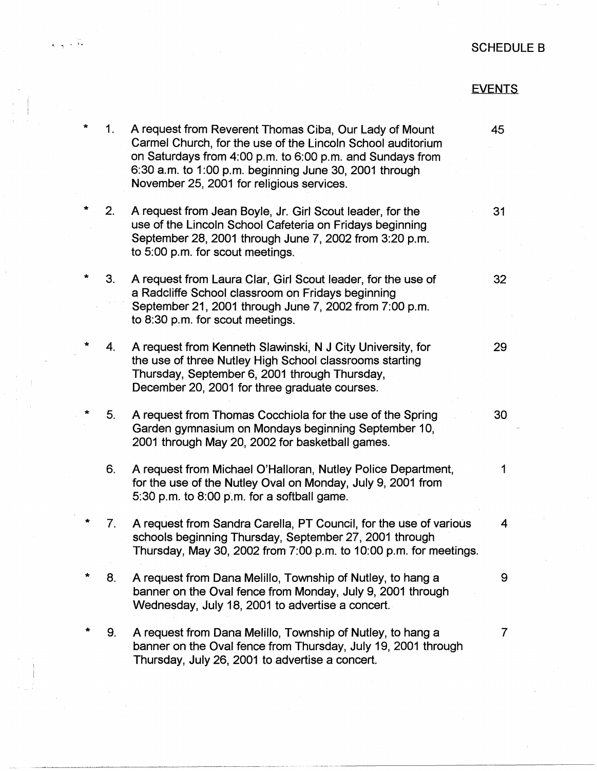## SCHEDULE B

## EVENTS

4

| $\ast$  | 1.             | A request from Reverent Thomas Ciba, Our Lady of Mount<br>Carmel Church, for the use of the Lincoln School auditorium<br>on Saturdays from 4:00 p.m. to 6:00 p.m. and Sundays from<br>6:30 a.m. to 1:00 p.m. beginning June 30, 2001 through<br>November 25, 2001 for religious services. | 45             |
|---------|----------------|-------------------------------------------------------------------------------------------------------------------------------------------------------------------------------------------------------------------------------------------------------------------------------------------|----------------|
| $\star$ | 2.             | A request from Jean Boyle, Jr. Girl Scout leader, for the<br>use of the Lincoln School Cafeteria on Fridays beginning<br>September 28, 2001 through June 7, 2002 from 3:20 p.m.<br>to 5:00 p.m. for scout meetings.                                                                       | 31             |
|         | 3.             | A request from Laura Clar, Girl Scout leader, for the use of<br>a Radcliffe School classroom on Fridays beginning<br>September 21, 2001 through June 7, 2002 from 7:00 p.m.<br>to 8:30 p.m. for scout meetings.                                                                           | 32             |
| $\ast$  | 4.             | A request from Kenneth Slawinski, N J City University, for<br>the use of three Nutley High School classrooms starting<br>Thursday, September 6, 2001 through Thursday,<br>December 20, 2001 for three graduate courses.                                                                   | 29             |
| $\star$ | 5 <sub>1</sub> | A request from Thomas Cocchiola for the use of the Spring<br>Garden gymnasium on Mondays beginning September 10,<br>2001 through May 20, 2002 for basketball games.                                                                                                                       | 30             |
|         | 6.             | A request from Michael O'Halloran, Nutley Police Department,<br>for the use of the Nutley Oval on Monday, July 9, 2001 from<br>5:30 p.m. to 8:00 p.m. for a softball game.                                                                                                                | $\mathbf{1}$   |
|         | 7.             | A request from Sandra Carella, PT Council, for the use of various<br>schools beginning Thursday, September 27, 2001 through<br>Thursday, May 30, 2002 from 7:00 p.m. to 10:00 p.m. for meetings.                                                                                          | $\overline{4}$ |
|         | 8.             | A request from Dana Melillo, Township of Nutley, to hang a<br>banner on the Oval fence from Monday, July 9, 2001 through<br>Wednesday, July 18, 2001 to advertise a concert.                                                                                                              | 9              |
|         | 9.             | A request from Dana Melillo, Township of Nutley, to hang a<br>banner on the Oval fence from Thursday, July 19, 2001 through<br>Thursday, July 26, 2001 to advertise a concert.                                                                                                            | 7              |

. ····--·---····------------------

' I

 $\bar{x}$